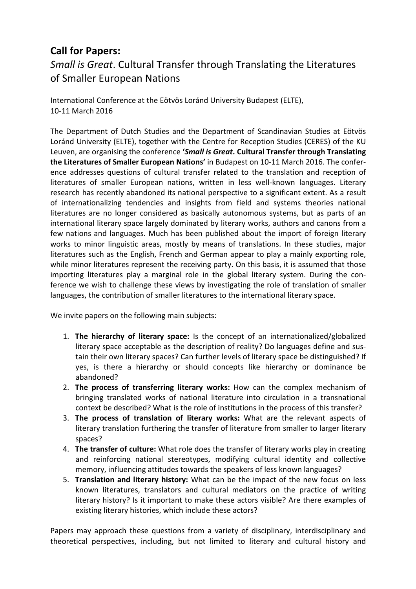## **Call for Papers:**

## *Small is Great*. Cultural Transfer through Translating the Literatures of Smaller European Nations

International Conference at the Eötvös Loránd University Budapest (ELTE), 10-11 March 2016

The Department of Dutch Studies and the Department of Scandinavian Studies at Eötvös Loránd University (ELTE), together with the Centre for Reception Studies (CERES) of the KU Leuven, are organising the conference **'***Small is Great***. Cultural Transfer through Translating the Literatures of Smaller European Nations'** in Budapest on 10-11 March 2016. The conference addresses questions of cultural transfer related to the translation and reception of literatures of smaller European nations, written in less well-known languages. Literary research has recently abandoned its national perspective to a significant extent. As a result of internationalizing tendencies and insights from field and systems theories national literatures are no longer considered as basically autonomous systems, but as parts of an international literary space largely dominated by literary works, authors and canons from a few nations and languages. Much has been published about the import of foreign literary works to minor linguistic areas, mostly by means of translations. In these studies, major literatures such as the English, French and German appear to play a mainly exporting role, while minor literatures represent the receiving party. On this basis, it is assumed that those importing literatures play a marginal role in the global literary system. During the conference we wish to challenge these views by investigating the role of translation of smaller languages, the contribution of smaller literatures to the international literary space.

We invite papers on the following main subjects:

- 1. **The hierarchy of literary space:** Is the concept of an internationalized/globalized literary space acceptable as the description of reality? Do languages define and sustain their own literary spaces? Can further levels of literary space be distinguished? If yes, is there a hierarchy or should concepts like hierarchy or dominance be abandoned?
- 2. **The process of transferring literary works:** How can the complex mechanism of bringing translated works of national literature into circulation in a transnational context be described? What is the role of institutions in the process of this transfer?
- 3. **The process of translation of literary works:** What are the relevant aspects of literary translation furthering the transfer of literature from smaller to larger literary spaces?
- 4. **The transfer of culture:** What role does the transfer of literary works play in creating and reinforcing national stereotypes, modifying cultural identity and collective memory, influencing attitudes towards the speakers of less known languages?
- 5. **Translation and literary history:** What can be the impact of the new focus on less known literatures, translators and cultural mediators on the practice of writing literary history? Is it important to make these actors visible? Are there examples of existing literary histories, which include these actors?

Papers may approach these questions from a variety of disciplinary, interdisciplinary and theoretical perspectives, including, but not limited to literary and cultural history and